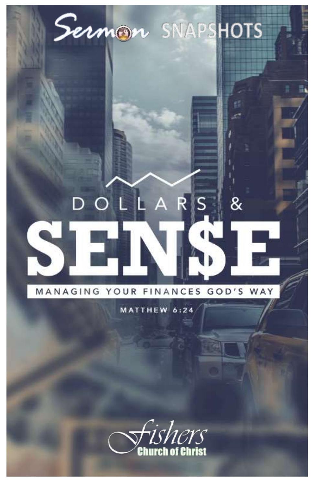

# $\&$ Ŕ Δ

## MANAGING YOUR FINANCES GOD'S WAY

MATTHEW 6:24

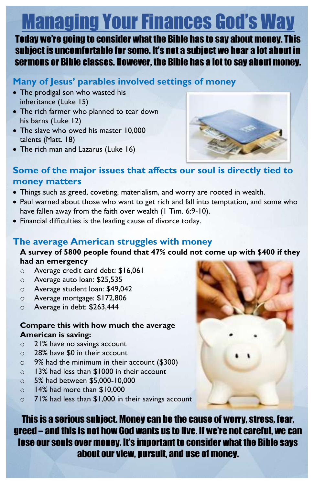# Managing Your Finances God's Way

Today we're going to consider what the Bible has to say about money. This subject is uncomfortable for some. It's not a subject we hear a lot about in sermons or Bible classes. However, the Bible has a lot to say about money.

## **Many of Jesus' parables involved settings of money**

- The prodigal son who wasted his inheritance (Luke 15)
- The rich farmer who planned to tear down his barns (Luke 12)
- The slave who owed his master 10,000 talents (Matt. 18)
- The rich man and Lazarus (Luke 16)



#### **Some of the major issues that affects our soul is directly tied to money matters**

- Things such as greed, coveting, materialism, and worry are rooted in wealth.
- Paul warned about those who want to get rich and fall into temptation, and some who have fallen away from the faith over wealth (1 Tim. 6:9-10).
- Financial difficulties is the leading cause of divorce today.

#### **The average American struggles with money**

#### **A survey of 5800 people found that 47% could not come up with \$400 if they had an emergency**

- o Average credit card debt: \$16,061
- o Average auto loan: \$25,535
- o Average student loan: \$49,042
- o Average mortgage: \$172,806
- o Average in debt: \$263,444

#### **Compare this with how much the average American is saving:**

- o 21% have no savings account
- o 28% have \$0 in their account
- o 9% had the minimum in their account (\$300)
- o 13% had less than \$1000 in their account
- o 5% had between \$5,000-10,000
- o 14% had more than \$10,000
- o 71% had less than \$1,000 in their savings account

This is a serious subject. Money can be the cause of worry, stress, fear, greed – and this is not how God wants us to live. If we're not careful, we can lose our souls over money. It's important to consider what the Bible says about our view, pursuit, and use of money.

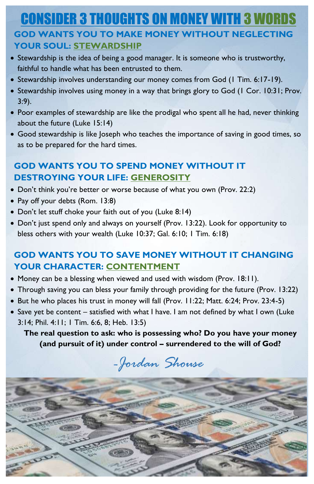# **CONSIDER 3 THOUGHTS ON MONEY WITH 3 WOR GOD WANTS YOU TO MAKE MONEY WITHOUT NEGLECTING YOUR SOUL: STEWARDSHIP**

- Stewardship is the idea of being a good manager. It is someone who is trustworthy, faithful to handle what has been entrusted to them.
- Stewardship involves understanding our money comes from God (1 Tim. 6:17-19).
- Stewardship involves using money in a way that brings glory to God (1 Cor. 10:31; Prov. 3:9).
- Poor examples of stewardship are like the prodigal who spent all he had, never thinking about the future (Luke 15:14)
- Good stewardship is like Joseph who teaches the importance of saving in good times, so as to be prepared for the hard times.

### **GOD WANTS YOU TO SPEND MONEY WITHOUT IT DESTROYING YOUR LIFE: GENEROSITY**

- Don't think you're better or worse because of what you own (Prov. 22:2)
- Pay off your debts (Rom. 13:8)
- Don't let stuff choke your faith out of you (Luke 8:14)
- Don't just spend only and always on yourself (Prov. 13:22). Look for opportunity to bless others with your wealth (Luke 10:37; Gal. 6:10; 1 Tim. 6:18)

#### **GOD WANTS YOU TO SAVE MONEY WITHOUT IT CHANGING YOUR CHARACTER: CONTENTMENT**

- Money can be a blessing when viewed and used with wisdom (Prov. 18:11).
- Through saving you can bless your family through providing for the future (Prov. 13:22)
- But he who places his trust in money will fall (Prov. 11:22; Matt. 6:24; Prov. 23:4-5)
- Save yet be content satisfied with what I have. I am not defined by what I own (Luke 3:14; Phil. 4:11; 1 Tim. 6:6, 8; Heb. 13:5)

**The real question to ask: who is possessing who? Do you have your money (and pursuit of it) under control – surrendered to the will of God?**

# *-Jordan Shouse*